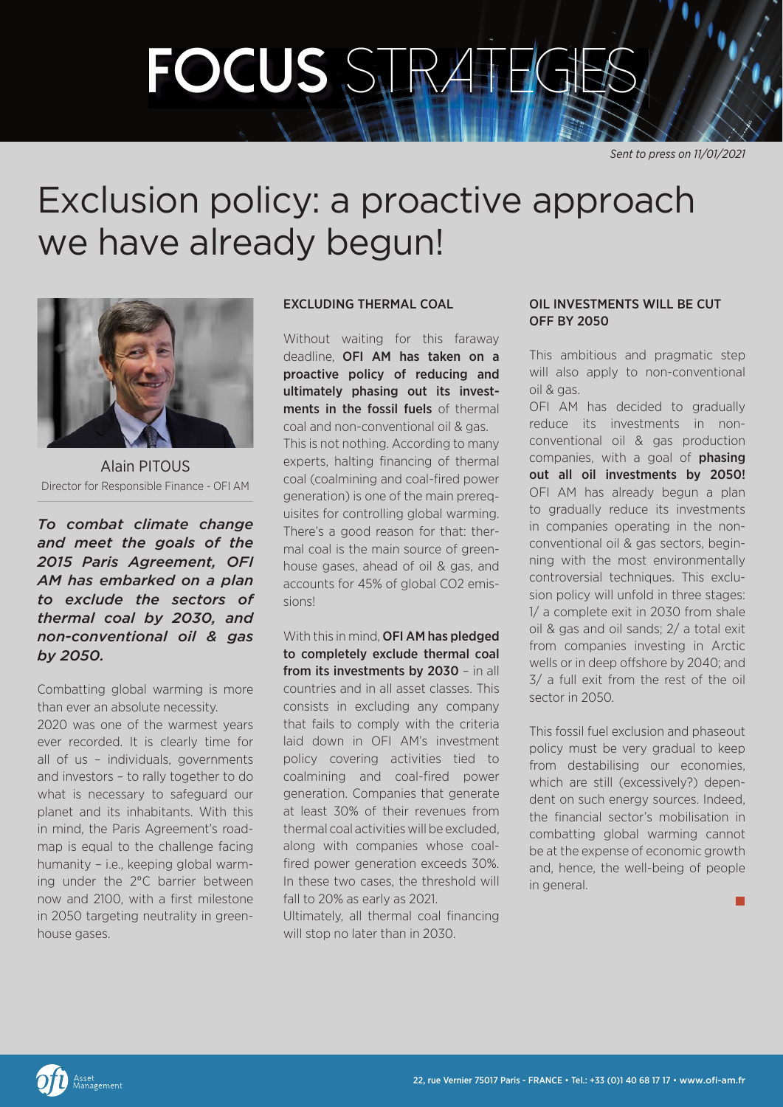# **focus** *stratEgies*

*Sent to press on 11/01/2021*

## Exclusion policy: a proactive approach we have already begun!



Alain PITOUS Director for Responsible Finance - OFI AM

*To combat climate change and meet the goals of the 2015 Paris Agreement, OFI AM has embarked on a plan to exclude the sectors of thermal coal by 2030, and non-conventional oil & gas by 2050.*

Combatting global warming is more than ever an absolute necessity.

2020 was one of the warmest years ever recorded. It is clearly time for all of us – individuals, governments and investors – to rally together to do what is necessary to safeguard our planet and its inhabitants. With this in mind, the Paris Agreement's roadmap is equal to the challenge facing humanity – i.e., keeping global warming under the 2°C barrier between now and 2100, with a first milestone in 2050 targeting neutrality in greenhouse gases.

### EXCLUDING THERMAL COAL

Without waiting for this faraway deadline, OFI AM has taken on a proactive policy of reducing and ultimately phasing out its investments in the fossil fuels of thermal coal and non-conventional oil & gas. This is not nothing. According to many experts, halting financing of thermal coal (coalmining and coal-fired power generation) is one of the main prerequisites for controlling global warming. There's a good reason for that: thermal coal is the main source of greenhouse gases, ahead of oil & gas, and accounts for 45% of global CO2 emissions!

With this in mind, **OFI AM has pledged** to completely exclude thermal coal from its investments by 2030 - in all countries and in all asset classes. This consists in excluding any company that fails to comply with the criteria laid down in OFI AM's investment policy covering activities tied to coalmining and coal-fired power generation. Companies that generate at least 30% of their revenues from thermal coal activities will be excluded, along with companies whose coalfired power generation exceeds 30%. In these two cases, the threshold will fall to 20% as early as 2021.

Ultimately, all thermal coal financing will stop no later than in 2030.

#### OIL INVESTMENTS WILL BE CUT OFF BY 2050

This ambitious and pragmatic step will also apply to non-conventional oil & gas.

OFI AM has decided to gradually reduce its investments in nonconventional oil & gas production companies, with a goal of **phasing** out all oil investments by 2050! OFI AM has already begun a plan to gradually reduce its investments in companies operating in the nonconventional oil & gas sectors, beginning with the most environmentally controversial techniques. This exclusion policy will unfold in three stages: 1/ a complete exit in 2030 from shale oil & gas and oil sands; 2/ a total exit from companies investing in Arctic wells or in deep offshore by 2040; and 3/ a full exit from the rest of the oil sector in 2050.

This fossil fuel exclusion and phaseout policy must be very gradual to keep from destabilising our economies, which are still (excessively?) dependent on such energy sources. Indeed, the financial sector's mobilisation in combatting global warming cannot be at the expense of economic growth and, hence, the well-being of people in general.